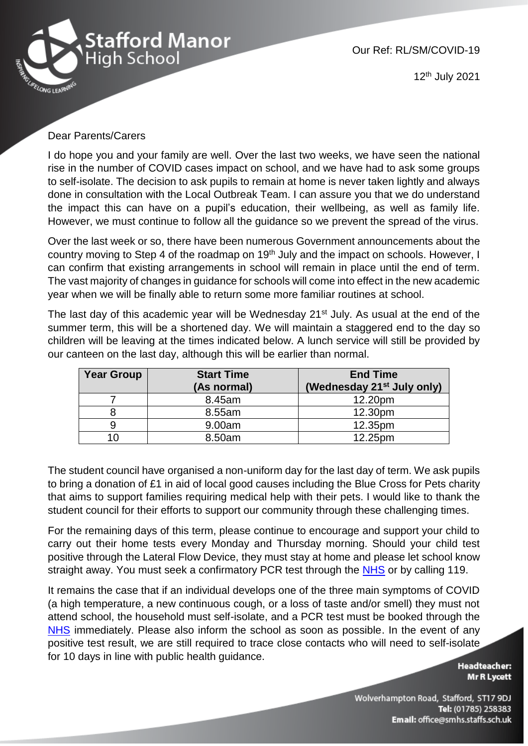

Our Ref: RL/SM/COVID-19

12th July 2021

## Dear Parents/Carers

I do hope you and your family are well. Over the last two weeks, we have seen the national rise in the number of COVID cases impact on school, and we have had to ask some groups to self-isolate. The decision to ask pupils to remain at home is never taken lightly and always done in consultation with the Local Outbreak Team. I can assure you that we do understand the impact this can have on a pupil's education, their wellbeing, as well as family life. However, we must continue to follow all the guidance so we prevent the spread of the virus.

Over the last week or so, there have been numerous Government announcements about the country moving to Step 4 of the roadmap on 19<sup>th</sup> July and the impact on schools. However, I can confirm that existing arrangements in school will remain in place until the end of term. The vast majority of changes in guidance for schools will come into effect in the new academic year when we will be finally able to return some more familiar routines at school.

The last day of this academic year will be Wednesday 21<sup>st</sup> July. As usual at the end of the summer term, this will be a shortened day. We will maintain a staggered end to the day so children will be leaving at the times indicated below. A lunch service will still be provided by our canteen on the last day, although this will be earlier than normal.

| <b>Year Group</b> | <b>Start Time</b><br>(As normal) | <b>End Time</b><br>(Wednesday 21 <sup>st</sup> July only) |
|-------------------|----------------------------------|-----------------------------------------------------------|
|                   | 8.45am                           | 12.20pm                                                   |
|                   | 8.55am                           | 12.30pm                                                   |
|                   | 9.00am                           | 12.35pm                                                   |
|                   | 8.50am                           | 12.25pm                                                   |

The student council have organised a non-uniform day for the last day of term. We ask pupils to bring a donation of £1 in aid of local good causes including the Blue Cross for Pets charity that aims to support families requiring medical help with their pets. I would like to thank the student council for their efforts to support our community through these challenging times.

For the remaining days of this term, please continue to encourage and support your child to carry out their home tests every Monday and Thursday morning. Should your child test positive through the Lateral Flow Device, they must stay at home and please let school know straight away. You must seek a confirmatory PCR test through the [NHS](https://www.gov.uk/get-coronavirus-test) or by calling 119.

It remains the case that if an individual develops one of the three main symptoms of COVID (a high temperature, a new continuous cough, or a loss of taste and/or smell) they must not attend school, the household must self-isolate, and a PCR test must be booked through the [NHS](https://www.gov.uk/get-coronavirus-test) immediately. Please also inform the school as soon as possible. In the event of any positive test result, we are still required to trace close contacts who will need to self-isolate for 10 days in line with public health guidance.

**Headteacher:** Mr R Lycett

Wolverhampton Road, Stafford, ST17 9DJ Tel: (01785) 258383 Email: office@smhs.staffs.sch.uk